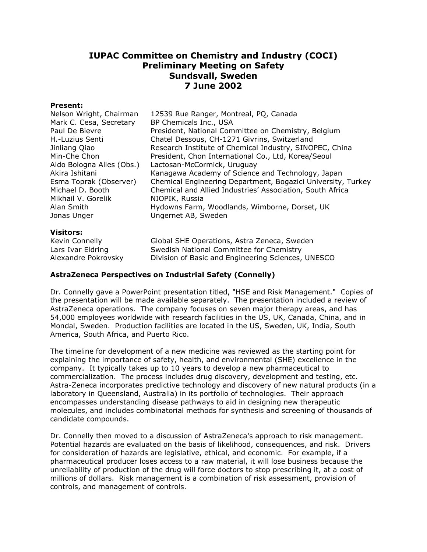# **IUPAC Committee on Chemistry and Industry (COCI) Preliminary Meeting on Safety Sundsvall, Sweden 7 June 2002**

#### **Present:**

| 12539 Rue Ranger, Montreal, PQ, Canada<br>BP Chemicals Inc., USA<br>President, National Committee on Chemistry, Belgium<br>Chatel Dessous, CH-1271 Givrins, Switzerland<br>Research Institute of Chemical Industry, SINOPEC, China |
|------------------------------------------------------------------------------------------------------------------------------------------------------------------------------------------------------------------------------------|
| President, Chon International Co., Ltd, Korea/Seoul                                                                                                                                                                                |
| Lactosan-McCormick, Uruguay<br>Kanagawa Academy of Science and Technology, Japan                                                                                                                                                   |
| Chemical Engineering Department, Bogazici University, Turkey                                                                                                                                                                       |
| Chemical and Allied Industries' Association, South Africa<br>NIOPIK, Russia                                                                                                                                                        |
| Hydowns Farm, Woodlands, Wimborne, Dorset, UK                                                                                                                                                                                      |
| Ungernet AB, Sweden                                                                                                                                                                                                                |
|                                                                                                                                                                                                                                    |

#### **Visitors:**

Kevin Connelly Global SHE Operations, Astra Zeneca, Sweden Lars Ivar Eldring Swedish National Committee for Chemistry Alexandre Pokrovsky Division of Basic and Engineering Sciences, UNESCO

# **AstraZeneca Perspectives on Industrial Safety (Connelly)**

Dr. Connelly gave a PowerPoint presentation titled, "HSE and Risk Management." Copies of the presentation will be made available separately. The presentation included a review of AstraZeneca operations. The company focuses on seven major therapy areas, and has 54,000 employees worldwide with research facilities in the US, UK, Canada, China, and in Mondal, Sweden. Production facilities are located in the US, Sweden, UK, India, South America, South Africa, and Puerto Rico.

The timeline for development of a new medicine was reviewed as the starting point for explaining the importance of safety, health, and environmental (SHE) excellence in the company. It typically takes up to 10 years to develop a new pharmaceutical to commercialization. The process includes drug discovery, development and testing, etc. Astra-Zeneca incorporates predictive technology and discovery of new natural products (in a laboratory in Queensland, Australia) in its portfolio of technologies. Their approach encompasses understanding disease pathways to aid in designing new therapeutic molecules, and includes combinatorial methods for synthesis and screening of thousands of candidate compounds.

Dr. Connelly then moved to a discussion of AstraZeneca's approach to risk management. Potential hazards are evaluated on the basis of likelihood, consequences, and risk. Drivers for consideration of hazards are legislative, ethical, and economic. For example, if a pharmaceutical producer loses access to a raw material, it will lose business because the unreliability of production of the drug will force doctors to stop prescribing it, at a cost of millions of dollars. Risk management is a combination of risk assessment, provision of controls, and management of controls.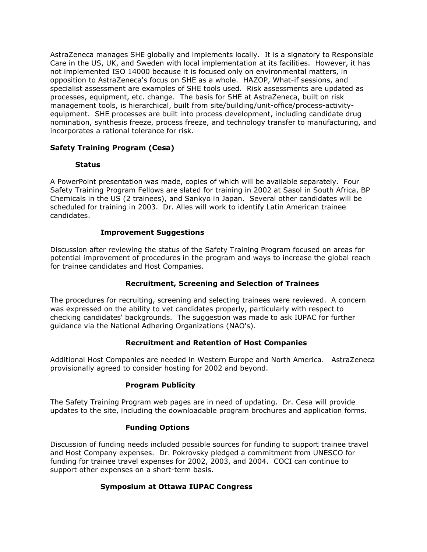AstraZeneca manages SHE globally and implements locally. It is a signatory to Responsible Care in the US, UK, and Sweden with local implementation at its facilities. However, it has not implemented ISO 14000 because it is focused only on environmental matters, in opposition to AstraZeneca's focus on SHE as a whole. HAZOP, What-if sessions, and specialist assessment are examples of SHE tools used. Risk assessments are updated as processes, equipment, etc. change. The basis for SHE at AstraZeneca, built on risk management tools, is hierarchical, built from site/building/unit-office/process-activityequipment. SHE processes are built into process development, including candidate drug nomination, synthesis freeze, process freeze, and technology transfer to manufacturing, and incorporates a rational tolerance for risk.

# **Safety Training Program (Cesa)**

# **Status**

A PowerPoint presentation was made, copies of which will be available separately. Four Safety Training Program Fellows are slated for training in 2002 at Sasol in South Africa, BP Chemicals in the US (2 trainees), and Sankyo in Japan. Several other candidates will be scheduled for training in 2003. Dr. Alles will work to identify Latin American trainee candidates.

### **Improvement Suggestions**

Discussion after reviewing the status of the Safety Training Program focused on areas for potential improvement of procedures in the program and ways to increase the global reach for trainee candidates and Host Companies.

# **Recruitment, Screening and Selection of Trainees**

The procedures for recruiting, screening and selecting trainees were reviewed. A concern was expressed on the ability to vet candidates properly, particularly with respect to checking candidates' backgrounds. The suggestion was made to ask IUPAC for further guidance via the National Adhering Organizations (NAO's).

# **Recruitment and Retention of Host Companies**

Additional Host Companies are needed in Western Europe and North America. AstraZeneca provisionally agreed to consider hosting for 2002 and beyond.

#### **Program Publicity**

The Safety Training Program web pages are in need of updating. Dr. Cesa will provide updates to the site, including the downloadable program brochures and application forms.

#### **Funding Options**

Discussion of funding needs included possible sources for funding to support trainee travel and Host Company expenses. Dr. Pokrovsky pledged a commitment from UNESCO for funding for trainee travel expenses for 2002, 2003, and 2004. COCI can continue to support other expenses on a short-term basis.

# **Symposium at Ottawa IUPAC Congress**